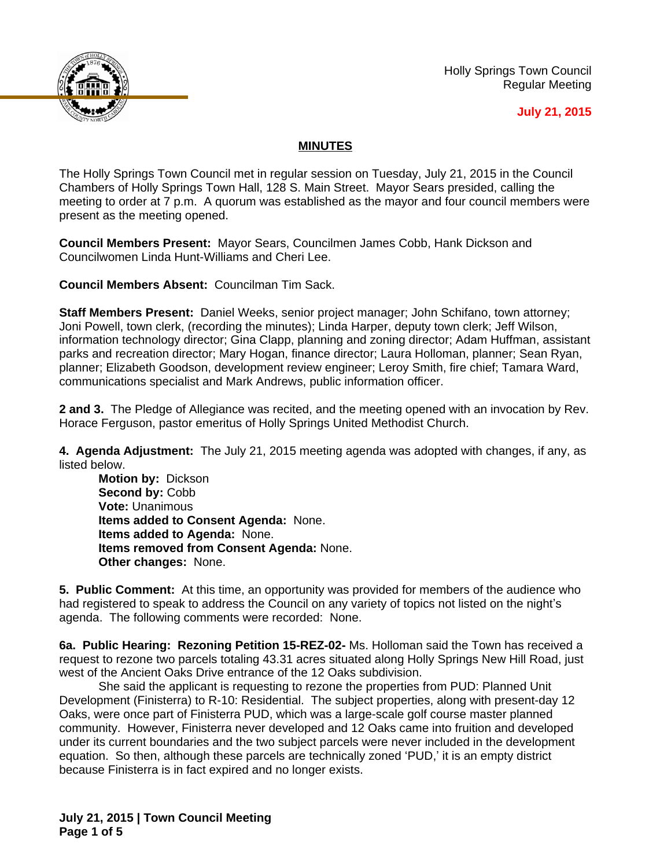

Holly Springs Town Council Regular Meeting

## **July 21, 2015**

## **MINUTES**

The Holly Springs Town Council met in regular session on Tuesday, July 21, 2015 in the Council Chambers of Holly Springs Town Hall, 128 S. Main Street. Mayor Sears presided, calling the meeting to order at 7 p.m. A quorum was established as the mayor and four council members were present as the meeting opened.

**Council Members Present:** Mayor Sears, Councilmen James Cobb, Hank Dickson and Councilwomen Linda Hunt-Williams and Cheri Lee.

**Council Members Absent:** Councilman Tim Sack.

**Staff Members Present:** Daniel Weeks, senior project manager; John Schifano, town attorney; Joni Powell, town clerk, (recording the minutes); Linda Harper, deputy town clerk; Jeff Wilson, information technology director; Gina Clapp, planning and zoning director; Adam Huffman, assistant parks and recreation director; Mary Hogan, finance director; Laura Holloman, planner; Sean Ryan, planner; Elizabeth Goodson, development review engineer; Leroy Smith, fire chief; Tamara Ward, communications specialist and Mark Andrews, public information officer.

**2 and 3.** The Pledge of Allegiance was recited, and the meeting opened with an invocation by Rev. Horace Ferguson, pastor emeritus of Holly Springs United Methodist Church.

**4. Agenda Adjustment:** The July 21, 2015 meeting agenda was adopted with changes, if any, as listed below.

**Motion by:** Dickson **Second by:** Cobb **Vote:** Unanimous **Items added to Consent Agenda:** None. **Items added to Agenda:** None. **Items removed from Consent Agenda:** None. **Other changes:** None.

**5. Public Comment:** At this time, an opportunity was provided for members of the audience who had registered to speak to address the Council on any variety of topics not listed on the night's agenda. The following comments were recorded: None.

**6a. Public Hearing: Rezoning Petition 15-REZ-02-** Ms. Holloman said the Town has received a request to rezone two parcels totaling 43.31 acres situated along Holly Springs New Hill Road, just west of the Ancient Oaks Drive entrance of the 12 Oaks subdivision.

She said the applicant is requesting to rezone the properties from PUD: Planned Unit Development (Finisterra) to R-10: Residential. The subject properties, along with present-day 12 Oaks, were once part of Finisterra PUD, which was a large-scale golf course master planned community. However, Finisterra never developed and 12 Oaks came into fruition and developed under its current boundaries and the two subject parcels were never included in the development equation. So then, although these parcels are technically zoned 'PUD,' it is an empty district because Finisterra is in fact expired and no longer exists.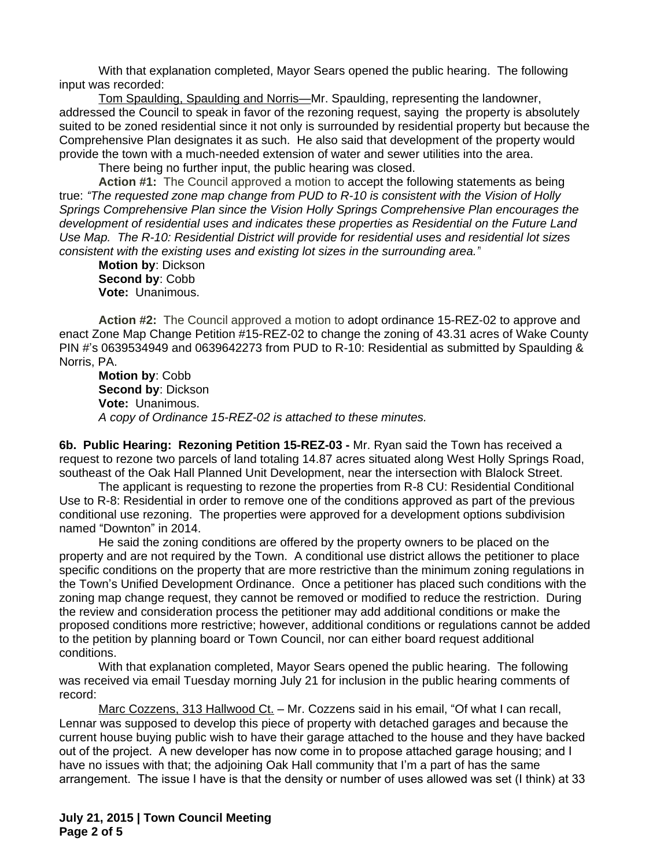With that explanation completed, Mayor Sears opened the public hearing. The following input was recorded:

Tom Spaulding, Spaulding and Norris—Mr. Spaulding, representing the landowner, addressed the Council to speak in favor of the rezoning request, saying the property is absolutely suited to be zoned residential since it not only is surrounded by residential property but because the Comprehensive Plan designates it as such. He also said that development of the property would provide the town with a much-needed extension of water and sewer utilities into the area.

There being no further input, the public hearing was closed.

**Action #1:** The Council approved a motion to accept the following statements as being true: *"The requested zone map change from PUD to R-10 is consistent with the Vision of Holly Springs Comprehensive Plan since the Vision Holly Springs Comprehensive Plan encourages the development of residential uses and indicates these properties as Residential on the Future Land Use Map. The R-10: Residential District will provide for residential uses and residential lot sizes consistent with the existing uses and existing lot sizes in the surrounding area."*

**Motion by**: Dickson **Second by**: Cobb **Vote:** Unanimous.

**Action #2:** The Council approved a motion to adopt ordinance 15-REZ-02 to approve and enact Zone Map Change Petition #15-REZ-02 to change the zoning of 43.31 acres of Wake County PIN #'s 0639534949 and 0639642273 from PUD to R-10: Residential as submitted by Spaulding & Norris, PA.

**Motion by**: Cobb **Second by**: Dickson **Vote:** Unanimous. *A copy of Ordinance 15-REZ-02 is attached to these minutes.*

**6b. Public Hearing: Rezoning Petition 15-REZ-03 -** Mr. Ryan said the Town has received a request to rezone two parcels of land totaling 14.87 acres situated along West Holly Springs Road, southeast of the Oak Hall Planned Unit Development, near the intersection with Blalock Street.

The applicant is requesting to rezone the properties from R-8 CU: Residential Conditional Use to R-8: Residential in order to remove one of the conditions approved as part of the previous conditional use rezoning. The properties were approved for a development options subdivision named "Downton" in 2014.

He said the zoning conditions are offered by the property owners to be placed on the property and are not required by the Town. A conditional use district allows the petitioner to place specific conditions on the property that are more restrictive than the minimum zoning regulations in the Town's Unified Development Ordinance. Once a petitioner has placed such conditions with the zoning map change request, they cannot be removed or modified to reduce the restriction. During the review and consideration process the petitioner may add additional conditions or make the proposed conditions more restrictive; however, additional conditions or regulations cannot be added to the petition by planning board or Town Council, nor can either board request additional conditions.

With that explanation completed, Mayor Sears opened the public hearing. The following was received via email Tuesday morning July 21 for inclusion in the public hearing comments of record:

Marc Cozzens, 313 Hallwood Ct. - Mr. Cozzens said in his email, "Of what I can recall, Lennar was supposed to develop this piece of property with detached garages and because the current house buying public wish to have their garage attached to the house and they have backed out of the project. A new developer has now come in to propose attached garage housing; and I have no issues with that; the adjoining Oak Hall community that I'm a part of has the same arrangement. The issue I have is that the density or number of uses allowed was set (I think) at 33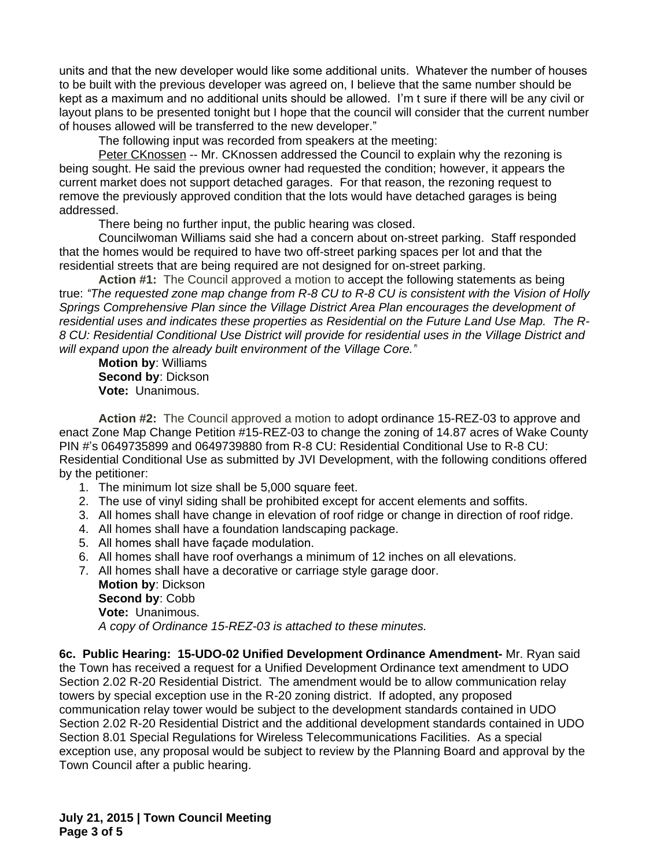units and that the new developer would like some additional units. Whatever the number of houses to be built with the previous developer was agreed on, I believe that the same number should be kept as a maximum and no additional units should be allowed. I'm t sure if there will be any civil or layout plans to be presented tonight but I hope that the council will consider that the current number of houses allowed will be transferred to the new developer."

The following input was recorded from speakers at the meeting:

Peter CKnossen -- Mr. CKnossen addressed the Council to explain why the rezoning is being sought. He said the previous owner had requested the condition; however, it appears the current market does not support detached garages. For that reason, the rezoning request to remove the previously approved condition that the lots would have detached garages is being addressed.

There being no further input, the public hearing was closed.

Councilwoman Williams said she had a concern about on-street parking. Staff responded that the homes would be required to have two off-street parking spaces per lot and that the residential streets that are being required are not designed for on-street parking.

 **Action #1:** The Council approved a motion to accept the following statements as being true: *"The requested zone map change from R-8 CU to R-8 CU is consistent with the Vision of Holly Springs Comprehensive Plan since the Village District Area Plan encourages the development of residential uses and indicates these properties as Residential on the Future Land Use Map. The R-8 CU: Residential Conditional Use District will provide for residential uses in the Village District and will expand upon the already built environment of the Village Core."*

**Motion by**: Williams **Second by**: Dickson **Vote:** Unanimous.

**Action #2:** The Council approved a motion to adopt ordinance 15-REZ-03 to approve and enact Zone Map Change Petition #15-REZ-03 to change the zoning of 14.87 acres of Wake County PIN #'s 0649735899 and 0649739880 from R-8 CU: Residential Conditional Use to R-8 CU: Residential Conditional Use as submitted by JVI Development, with the following conditions offered by the petitioner:

- 1. The minimum lot size shall be 5,000 square feet.
- 2. The use of vinyl siding shall be prohibited except for accent elements and soffits.
- 3. All homes shall have change in elevation of roof ridge or change in direction of roof ridge.
- 4. All homes shall have a foundation landscaping package.
- 5. All homes shall have façade modulation.
- 6. All homes shall have roof overhangs a minimum of 12 inches on all elevations.

7. All homes shall have a decorative or carriage style garage door. **Motion by**: Dickson **Second by**: Cobb **Vote:** Unanimous.

*A copy of Ordinance 15-REZ-03 is attached to these minutes.*

**6c. Public Hearing: 15-UDO-02 Unified Development Ordinance Amendment-** Mr. Ryan said the Town has received a request for a Unified Development Ordinance text amendment to UDO Section 2.02 R-20 Residential District. The amendment would be to allow communication relay towers by special exception use in the R-20 zoning district. If adopted, any proposed communication relay tower would be subject to the development standards contained in UDO Section 2.02 R-20 Residential District and the additional development standards contained in UDO Section 8.01 Special Regulations for Wireless Telecommunications Facilities. As a special exception use, any proposal would be subject to review by the Planning Board and approval by the Town Council after a public hearing.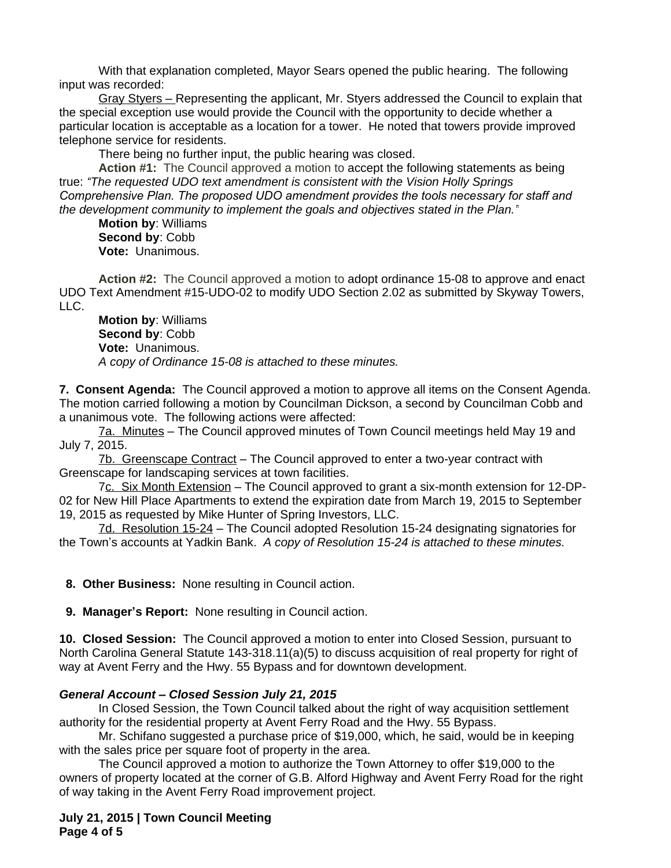With that explanation completed, Mayor Sears opened the public hearing. The following input was recorded:

Gray Styers – Representing the applicant, Mr. Styers addressed the Council to explain that the special exception use would provide the Council with the opportunity to decide whether a particular location is acceptable as a location for a tower. He noted that towers provide improved telephone service for residents.

There being no further input, the public hearing was closed.

**Action #1:** The Council approved a motion to accept the following statements as being true: *"The requested UDO text amendment is consistent with the Vision Holly Springs Comprehensive Plan. The proposed UDO amendment provides the tools necessary for staff and the development community to implement the goals and objectives stated in the Plan."*

**Motion by**: Williams **Second by**: Cobb **Vote:** Unanimous.

**Action #2:** The Council approved a motion to adopt ordinance 15-08 to approve and enact UDO Text Amendment #15-UDO-02 to modify UDO Section 2.02 as submitted by Skyway Towers, LLC.

**Motion by**: Williams **Second by**: Cobb **Vote:** Unanimous. *A copy of Ordinance 15-08 is attached to these minutes.*

**7. Consent Agenda:** The Council approved a motion to approve all items on the Consent Agenda. The motion carried following a motion by Councilman Dickson, a second by Councilman Cobb and a unanimous vote. The following actions were affected:

7a. Minutes – The Council approved minutes of Town Council meetings held May 19 and July 7, 2015.

7b. Greenscape Contract – The Council approved to enter a two-year contract with Greenscape for landscaping services at town facilities.

7c. Six Month Extension – The Council approved to grant a six-month extension for 12-DP-02 for New Hill Place Apartments to extend the expiration date from March 19, 2015 to September 19, 2015 as requested by Mike Hunter of Spring Investors, LLC.

7d. Resolution 15-24 – The Council adopted Resolution 15-24 designating signatories for the Town's accounts at Yadkin Bank. *A copy of Resolution 15-24 is attached to these minutes.*

 **8. Other Business:** None resulting in Council action.

 **9. Manager's Report:** None resulting in Council action.

**10. Closed Session:** The Council approved a motion to enter into Closed Session, pursuant to North Carolina General Statute 143-318.11(a)(5) to discuss acquisition of real property for right of way at Avent Ferry and the Hwy. 55 Bypass and for downtown development.

## *General Account – Closed Session July 21, 2015*

In Closed Session, the Town Council talked about the right of way acquisition settlement authority for the residential property at Avent Ferry Road and the Hwy. 55 Bypass.

Mr. Schifano suggested a purchase price of \$19,000, which, he said, would be in keeping with the sales price per square foot of property in the area.

The Council approved a motion to authorize the Town Attorney to offer \$19,000 to the owners of property located at the corner of G.B. Alford Highway and Avent Ferry Road for the right of way taking in the Avent Ferry Road improvement project.

**July 21, 2015 | Town Council Meeting Page 4 of 5**